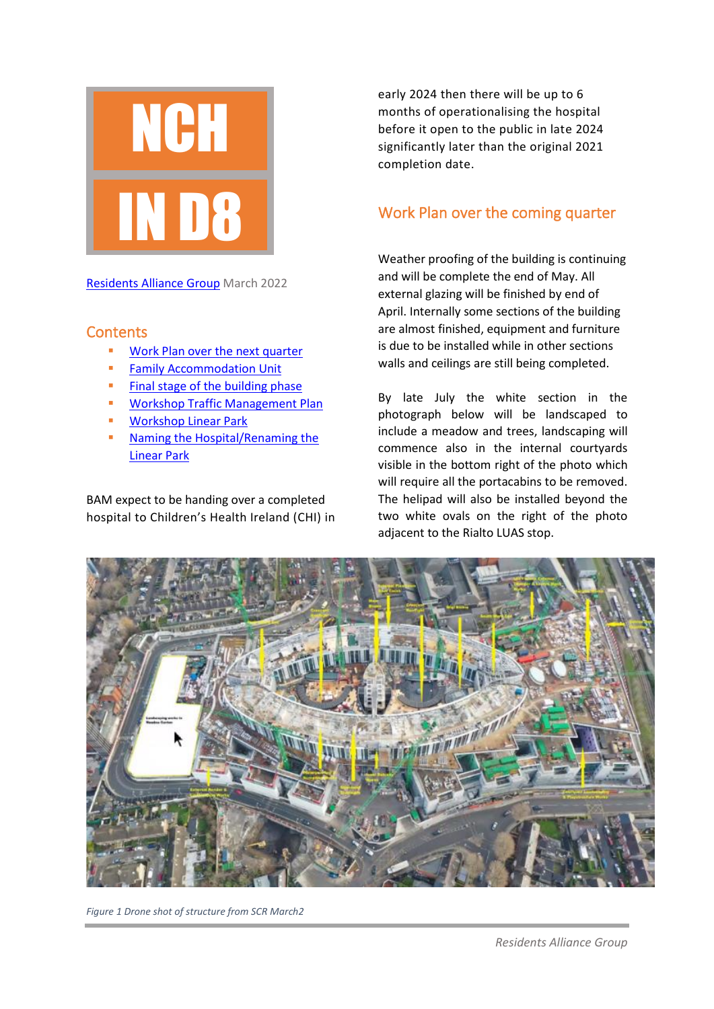

[Residents Alliance Group](mailto:http://residentsalliancegroup.com/) March 2022

#### **Contents**

- [Work Plan over the next quarter](#page-0-0)
- **EXECOMMODATION UNIT** [Family Accommodation Unit](#page-1-0)
- [Final stage of the building phase](#page-1-1)
- **■** Workshop Traffic [Management Plan](#page-3-0)
- [Workshop Linear Park](#page-2-0)
- Naming the Hospital/Renaming the [Linear Park](#page-3-1)

BAM expect to be handing over a completed hospital to Children's Health Ireland (CHI) in early 2024 then there will be up to 6 months of operationalising the hospital before it open to the public in late 2024 significantly later than the original 2021 completion date.

### <span id="page-0-0"></span>Work Plan over the coming quarter

Weather proofing of the building is continuing and will be complete the end of May. All external glazing will be finished by end of April. Internally some sections of the building are almost finished, equipment and furniture is due to be installed while in other sections walls and ceilings are still being completed.

By late July the white section in the photograph below will be landscaped to include a meadow and trees, landscaping will commence also in the internal courtyards visible in the bottom right of the photo which will require all the portacabins to be removed. The helipad will also be installed beyond the two white ovals on the right of the photo adjacent to the Rialto LUAS stop.



*Figure 1 Drone shot of structure from SCR March2*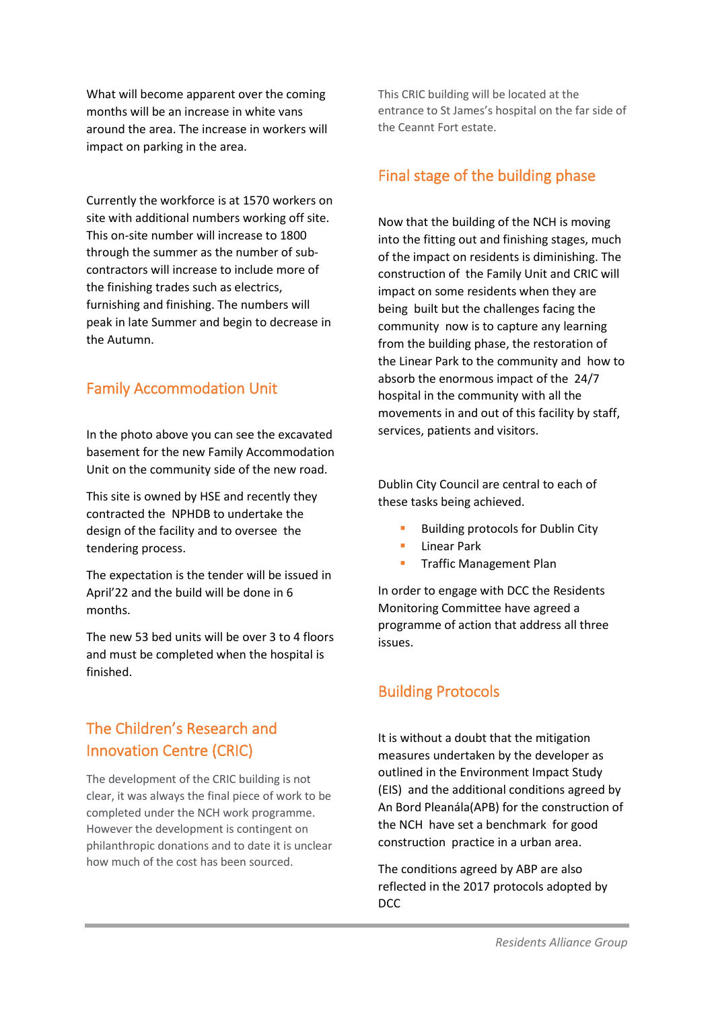What will become apparent over the coming months will be an increase in white vans around the area. The increase in workers will impact on parking in the area.

Currently the workforce is at 1570 workers on site with additional numbers working off site. This on-site number will increase to 1800 through the summer as the number of subcontractors will increase to include more of the finishing trades such as electrics, furnishing and finishing. The numbers will peak in late Summer and begin to decrease in the Autumn.

### <span id="page-1-0"></span>Family Accommodation Unit

In the photo above you can see the excavated basement for the new Family Accommodation Unit on the community side of the new road.

This site is owned by HSE and recently they contracted the NPHDB to undertake the design of the facility and to oversee the tendering process.

The expectation is the tender will be issued in April'22 and the build will be done in 6 months.

The new 53 bed units will be over 3 to 4 floors and must be completed when the hospital is finished.

### The Children's Research and Innovation Centre (CRIC)

The development of the CRIC building is not clear, it was always the final piece of work to be completed under the NCH work programme. However the development is contingent on philanthropic donations and to date it is unclear how much of the cost has been sourced.

This CRIC building will be located at the entrance to St James's hospital on the far side of the Ceannt Fort estate.

#### <span id="page-1-1"></span>Final stage of the building phase

Now that the building of the NCH is moving into the fitting out and finishing stages, much of the impact on residents is diminishing. The construction of the Family Unit and CRIC will impact on some residents when they are being built but the challenges facing the community now is to capture any learning from the building phase, the restoration of the Linear Park to the community and how to absorb the enormous impact of the 24/7 hospital in the community with all the movements in and out of this facility by staff, services, patients and visitors.

Dublin City Council are central to each of these tasks being achieved.

- **Building protocols for Dublin City**
- Linear Park
- **■** Traffic Management Plan

In order to engage with DCC the Residents Monitoring Committee have agreed a programme of action that address all three issues.

### Building Protocols

It is without a doubt that the mitigation measures undertaken by the developer as outlined in the Environment Impact Study (EIS) and the additional conditions agreed by An Bord Pleanála(APB) for the construction of the NCH have set a benchmark for good construction practice in a urban area.

The conditions agreed by ABP are also reflected in the 2017 protocols adopted by DCC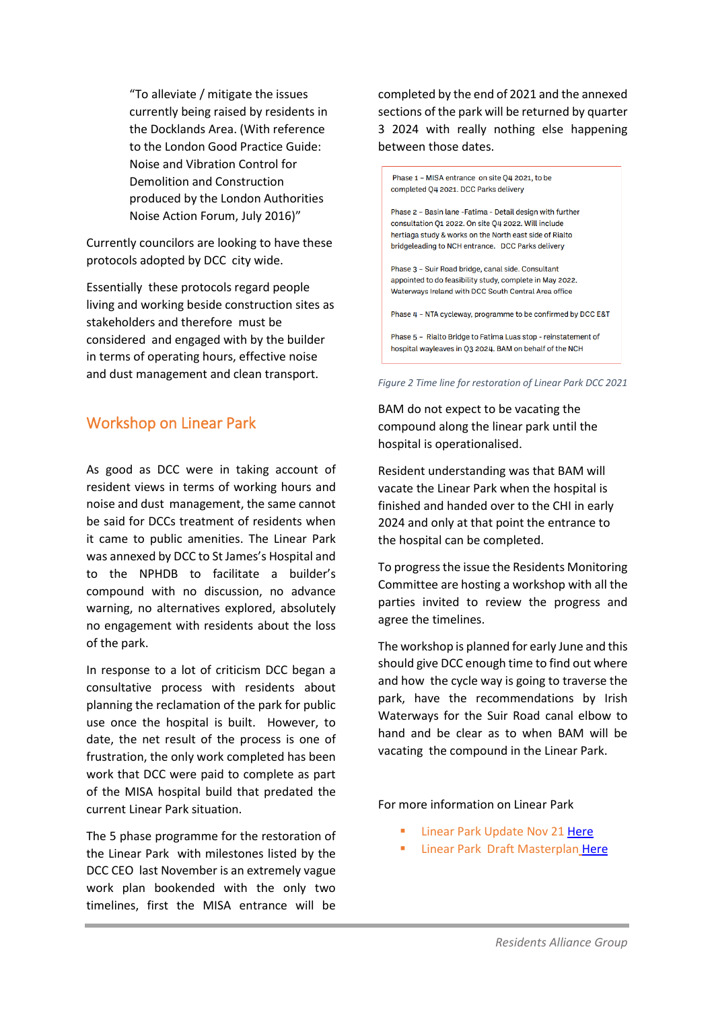"To alleviate / mitigate the issues currently being raised by residents in the Docklands Area. (With reference to the London Good Practice Guide: Noise and Vibration Control for Demolition and Construction produced by the London Authorities Noise Action Forum, July 2016)"

Currently councilors are looking to have these protocols adopted by DCC city wide.

Essentially these protocols regard people living and working beside construction sites as stakeholders and therefore must be considered and engaged with by the builder in terms of operating hours, effective noise and dust management and clean transport.

### <span id="page-2-0"></span>Workshop on Linear Park

As good as DCC were in taking account of resident views in terms of working hours and noise and dust management, the same cannot be said for DCCs treatment of residents when it came to public amenities. The Linear Park was annexed by DCC to St James's Hospital and to the NPHDB to facilitate a builder's compound with no discussion, no advance warning, no alternatives explored, absolutely no engagement with residents about the loss of the park.

In response to a lot of criticism DCC began a consultative process with residents about planning the reclamation of the park for public use once the hospital is built. However, to date, the net result of the process is one of frustration, the only work completed has been work that DCC were paid to complete as part of the MISA hospital build that predated the current Linear Park situation.

The 5 phase programme for the restoration of the Linear Park with milestones listed by the DCC CEO last November is an extremely vague work plan bookended with the only two timelines, first the MISA entrance will be

completed by the end of 2021 and the annexed sections of the park will be returned by quarter 3 2024 with really nothing else happening between those dates.



*Figure 2 Time line for restoration of Linear Park DCC 2021*

BAM do not expect to be vacating the compound along the linear park until the hospital is operationalised.

Resident understanding was that BAM will vacate the Linear Park when the hospital is finished and handed over to the CHI in early 2024 and only at that point the entrance to the hospital can be completed.

To progress the issue the Residents Monitoring Committee are hosting a workshop with all the parties invited to review the progress and agree the timelines.

The workshop is planned for early June and this should give DCC enough time to find out where and how the cycle way is going to traverse the park, have the recommendations by Irish Waterways for the Suir Road canal elbow to hand and be clear as to when BAM will be vacating the compound in the Linear Park.

For more information on Linear Park

- **Linear Park Update Nov 21 [Here](http://residentsalliancegroup.com/docs/LinearParkJuly%2020/075_Concept_Presentation_211123.pdf)**
- **E** Linear Park Draft Masterplan [Here](https://consultation.dublincity.ie/parks/st-jamess-linear-park-masterplan/)